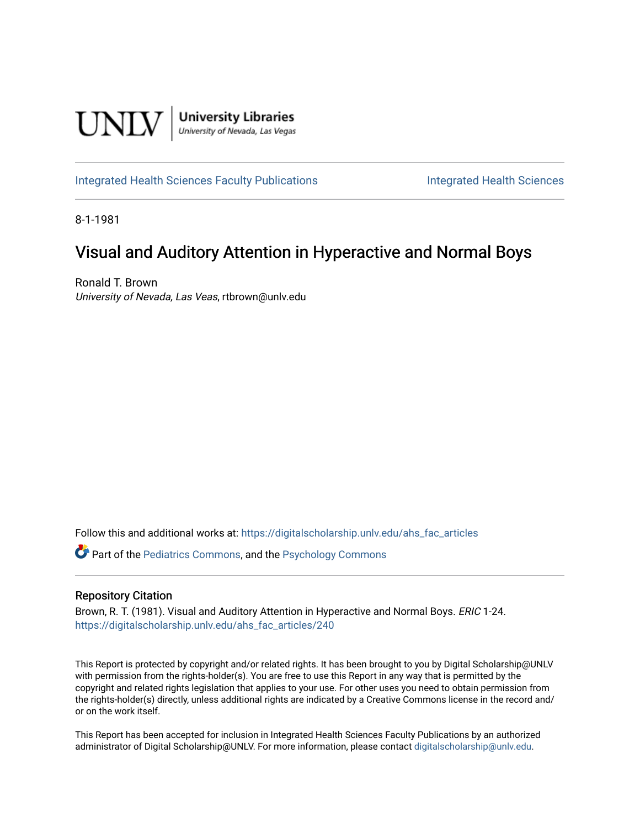

[Integrated Health Sciences Faculty Publications](https://digitalscholarship.unlv.edu/ahs_fac_articles) **Integrated Health Sciences** 

8-1-1981

# Visual and Auditory Attention in Hyperactive and Normal Boys

Ronald T. Brown University of Nevada, Las Veas, rtbrown@unlv.edu

Follow this and additional works at: [https://digitalscholarship.unlv.edu/ahs\\_fac\\_articles](https://digitalscholarship.unlv.edu/ahs_fac_articles?utm_source=digitalscholarship.unlv.edu%2Fahs_fac_articles%2F240&utm_medium=PDF&utm_campaign=PDFCoverPages) 

Part of the [Pediatrics Commons](http://network.bepress.com/hgg/discipline/700?utm_source=digitalscholarship.unlv.edu%2Fahs_fac_articles%2F240&utm_medium=PDF&utm_campaign=PDFCoverPages), and the [Psychology Commons](http://network.bepress.com/hgg/discipline/404?utm_source=digitalscholarship.unlv.edu%2Fahs_fac_articles%2F240&utm_medium=PDF&utm_campaign=PDFCoverPages) 

## Repository Citation

Brown, R. T. (1981). Visual and Auditory Attention in Hyperactive and Normal Boys. ERIC 1-24. [https://digitalscholarship.unlv.edu/ahs\\_fac\\_articles/240](https://digitalscholarship.unlv.edu/ahs_fac_articles/240) 

This Report is protected by copyright and/or related rights. It has been brought to you by Digital Scholarship@UNLV with permission from the rights-holder(s). You are free to use this Report in any way that is permitted by the copyright and related rights legislation that applies to your use. For other uses you need to obtain permission from the rights-holder(s) directly, unless additional rights are indicated by a Creative Commons license in the record and/ or on the work itself.

This Report has been accepted for inclusion in Integrated Health Sciences Faculty Publications by an authorized administrator of Digital Scholarship@UNLV. For more information, please contact [digitalscholarship@unlv.edu.](mailto:digitalscholarship@unlv.edu)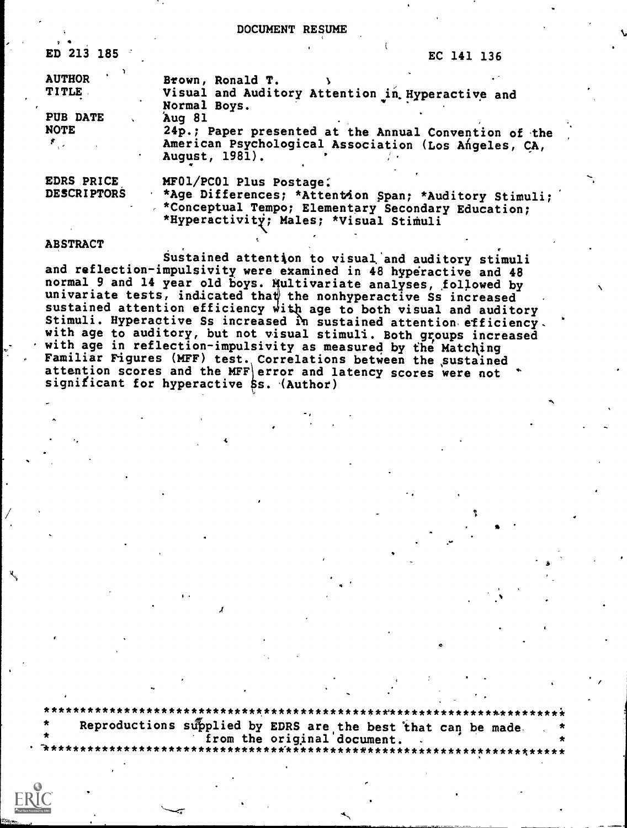DOCUMENT RESUME

| ED 213 185                                             | EC 141 136                                                                                                                                                                         |
|--------------------------------------------------------|------------------------------------------------------------------------------------------------------------------------------------------------------------------------------------|
| <b>AUTHOR</b><br><b>TITLE</b>                          | Brown, Ronald T.<br>Visual and Auditory Attention in Hyperactive and<br>Normal Boys.                                                                                               |
| PUB DATE<br><b>NOTE</b><br>$\mathcal{F}_{\mathcal{A}}$ | Aug 81<br>24p.; Paper presented at the Annual Convention of the<br>American Psychological Association (Los Angeles, CA,<br>August, 1981).                                          |
| EDRS PRICE<br><b>DESCRIPTORS</b>                       | MF01/PC01 Plus Postage:<br>*Age Differences; *Attention Span; *Auditory Stimuli;<br>* *Conceptual Tempo; Elementary Secondary Education;<br>*Hyperactivity; Males; *Visual Stimuli |

#### **ABSTRACT**

Sustained attention to visual and auditory stimuli and reflection-impulsivity were examined in 48 hyperactive and 48 normal 9 and 14 year old boys. Multivariate analyses, followed by univariate tests, indicated that the nonhyperactive Ss increased<br>sustained attention efficiency with age to both visual and auditory Stimuli. Hyperactive Ss increased in sustained attention efficiency. with age to auditory, but not visual stimuli. Both groups increased with age in reflection-impulsivity as measured by the Matching<br>Familiar Figures (MFF) test. Correlations between the sustained<br>attention scores and the MFF error and latency scores were not significant for hyperactive \$s. (Author)

Reproductions supplied by EDRS are the best that can be made.<br>from the original document.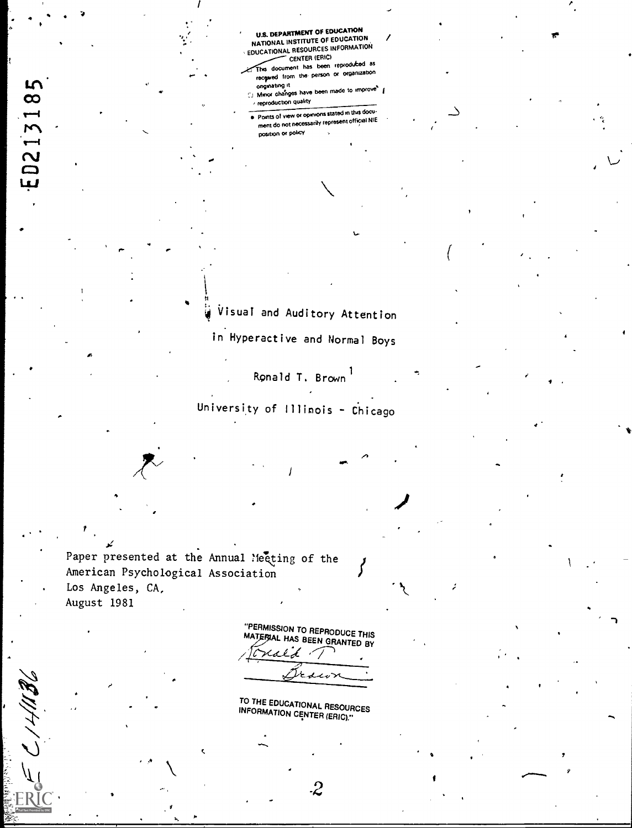U.S. DEPARTMENT OF EDUCATION<br>NATIONAL INSTITUTE OF EDUCATION / EDUCATIONAL RESOURCES INFORMATION

- This document has been reproduced as received from the person or organization
- onginating it<br>C.: Minor changes have been made to improve<sup>s</sup> { reproduction quality
- Points of view or opinions stated in this document do not necessarily represent official NIE position or policy

Visual and Auditory Attention in Hyperactive and Normal Boys

Ronald T. Brown<sup>1</sup>

University of Illinois - Chicago

Paper presented at the Annual Meeting of the American Psychological Association Los Angeles, CA, August 1981

ED213185

"PERMISSION TO REPRODUCE THIS<br>MATEFIAL HAS BEEN GRANTED BY  $\mathcal{U} \times \mathcal{V}$ يرحد

TO THE EDUCATIONAL RESOURCES<br>INFORMATION CENTER (ERIC).''

-2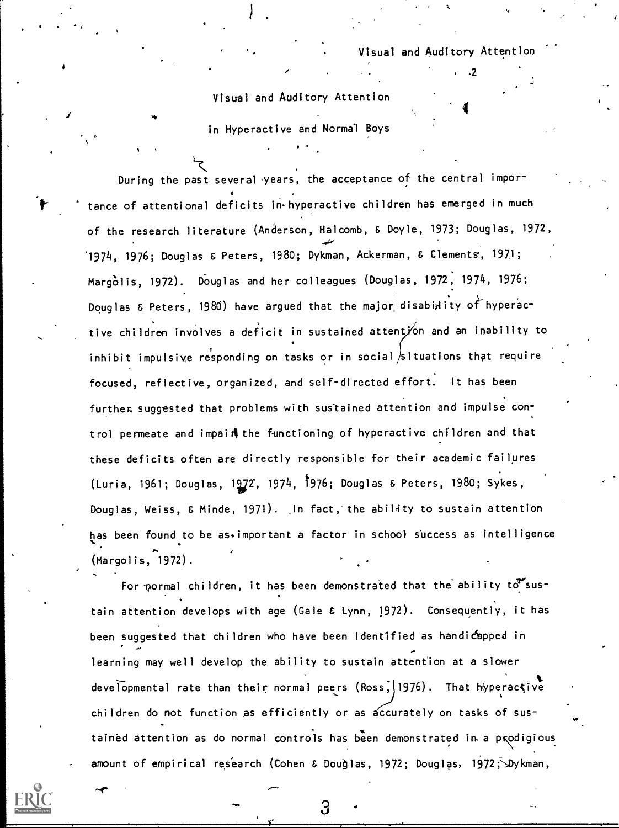.2

4

Visual and Auditory Attention

 $\bullet$  and  $\bullet$ 

in Hyperactive and Normal Boys

During the past several years, the acceptance of the central importance of attentional deficits in hyperactive children has emerged in much of the research literature (Anderson, Halcomb, & Doyle, 1973; Douglas, 1972, 1974, 1976; Douglas & Peters, 1980; Dykman, Ackerman, & Clements, 197,1; Margolis, 1972). Douglas and her colleagues (Douglas, 1972, 1974, 1976; Douglas  $\epsilon$  Peters, 1980) have argued that the major disability of hyperactive children involves a deficit in sustained attent/on and an inability to inhibit impulsive responding on tasks or in social situations that require focused, reflective, organized, and self-directed effort. It has been further, suggested that problems with sustained attention and impulse control permeate and impain the functioning of hyperactive children and that these deficits often are directly responsible for their academic failures (Luria, 1961; Douglas, 1972, 1974, 1976; Douglas & Peters, 1980; Sykes, Douglas, Weiss, & Minde, 1971). In fact, the ability to sustain attention has been found to be as, important a factor in school success as intelligence (Margolis,-1972).

For pormal children, it has been demonstrated that the ability  $t\sigma$ sustain attention develops with age (Gale & Lynn, 1972). Consequently, it has been suggested that children who have been identified as handicapped in learning may well develop the ability to sustain attention at a slower developmental rate than their normal peers (Ross, 1976). That hyperactive children do not function as efficiently or as accurately on tasks of sustained attention as do normal controls has been demonstrated in a prodigious amount of empirical research (Cohen & Douglas, 1972; Douglas, 1972; Dykman,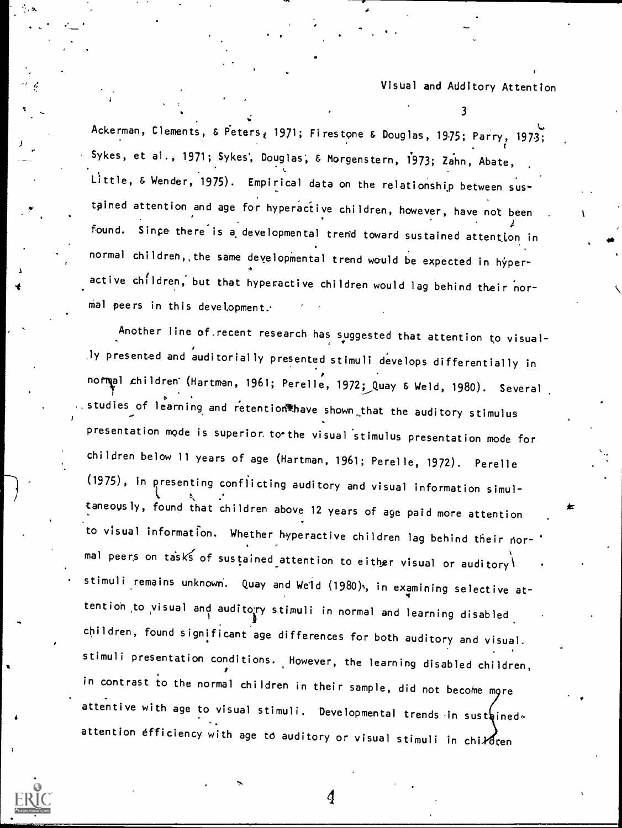3

Ackerman, Clements, & Peters, 1971; Firestone & Douglas, 1975; Parry, 1973; Sykes, et al., 1971; Sykes, Douglas, & Morgenstern, 1973; Zahn, Abate, L Little, & Wender, 1975). Empirical data on the relationship between sustpined attention and age for hyperactive children, however, have not been found. Since there is a developmental trend toward sustained attention in normal children,, the same developmental trend would be expected in hyperactive children, but that hyperactive children would lag behind their normal peers in this development.

Another line of recent research has suggested that attention to visually presented and auditorially presented stimuli develops differentially in normal children' (Hartman, 1961; Perelle, 1972; Quay & Weld, 1980). Several studies of learning and retention thave shown that the auditory stimulus presentation mode is superior to-the visual 'stimulus presentation mode for children below 11 years of age (Hartman, 1961; Perelle, 1972). Perelle (1975), in presenting conflicting auditory and visual information simultaneovsly, found that children above 12 years of aye paid more attention to visual information. Whether hyperactive children lag behind their normal peers on tasks of sustained attention to either visual or auditory stimuli remains unknown. Quay and Weld (1980), in examining selective attention to visual and auditoyy stimuli in normal and learning disabled children, found significant age differences for both auditory and visual, stimuli presentation conditions. However, the learning disabled children, in contrast to the normal children in their sample, did not become more attentive with age to visual stimuli. Developmental trends in sustained. attention efficiency with age to auditory or visual stimuli in children

 $\boldsymbol{q}$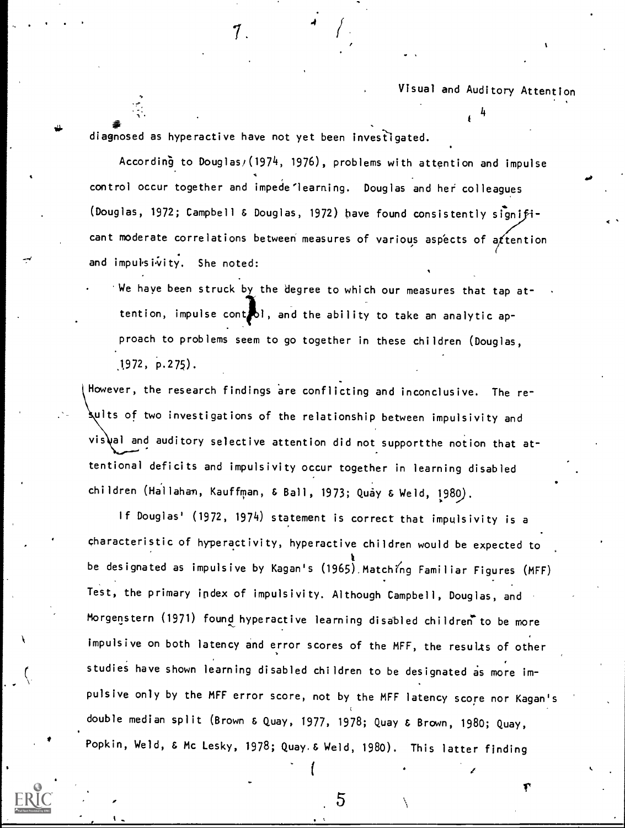4

an di bahasa di bahasa di bahasa di bahasa di bahasa di bahasa di bahasa di bahasa di bahasa di bahasa di bah<br>Akif di bahasa di bahasa di bahasa di bahasa di bahasa di bahasa di bahasa di bahasa di bahasa di bahasa di ba diagnosed as hyperactive have not yet been investigated.

 $\mathcal{T}_{\text{max}}$ 

According to Douglas/(1974, 1976), problems with attention and impulse control occur together and impede learning. Douglas and her colleagues (Douglas, 1972; Campbell & Douglas, 1972) have found consistently significant moderate correlations between measures of various aspects of a  $f$ tention and impulsivity. She noted:

.4

We have been struck by the degree to which our measures that tap attention, impulse control, and the ability to take an analytic approach to problems seem to go together in these children (Douglas,  $1972, p.275$ .

However, the research findings are conflicting and inconclusive. The re- $\:$ ults of two investigations of the relationship between impulsivity and vis\al and auditory selective attention did not supportthe notion that attentional deficits and impulsivity occur together in learning disabled children (Ha'llahan, Kauffman, & Ball, 1973; Quay & Weld, 1989).

If Douglas' (1972, 1974) statement is correct that impulsivity is a characteristic of hyperactivity, hyperactive children would be expected to be designated as impulsive by Kagan's  $(1965)$  Matching Familiar Figures  $(MFF)$ Test, the primary ipdex of impulsivity. Although Campbell, Douglas, and Morgenstern (1971) found hyperactive learning disabled children to be more impulsive on both latency and error scores of the MFF, the results of other studies have shown learning disabled children to be designated as more impulsive only by the MFF error score, not by the MFF latency score nor Kagan's double median split (Brown & Quay, 1977, 1978; Quay & Brown, 1980; Quay, Popkin, Weld, & Mc Lesky, 1978; Quay. & Weld, 1980). This latter finding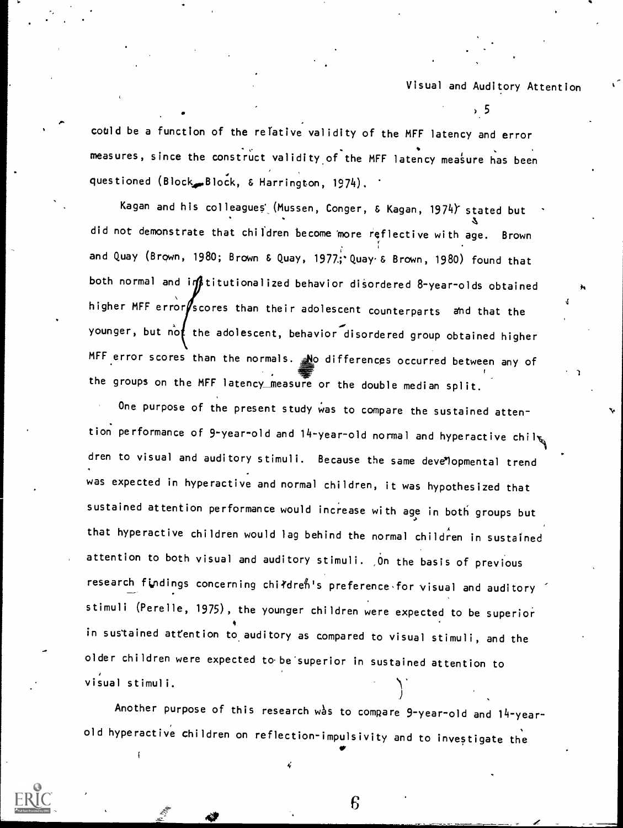$\sim$  500  $\sim$  500  $\sim$ 

-4

could be a function of the relative validity of the MFF latency and error measures, since the construct validity of the MFF latency measure has been questioned (Block, Block, & Harrington, 1974).

Kagan and his colleagues (Mussen, Conger, & Kagan, 1974) stated but did not demonstrate that children become more reflective with age. Brown and Quay (Brown, 1980; Brown & Quay, 1977; Quay & Brown, 1980) found that both normal and infititutionalized behavior disordered 8-year-olds obtained higher MFF error $\sqrt{s}$  cores than their adolescent counterparts and that the younger, but not the adolescent, behavior disordered group obtained higher MFF error scores than the normals. No differences occurred between any of the groups on the MFF latency\_measure or the double median split.

One purpose of the present study was to compare the sustained attention performance of 9-year-old and  $14$ -year-old normal and hyperactive chilts dren to visual and auditory stimuli. Because the same developmental trend was expected in hyperactive and normal children, it was hypothesized that sustained attention performance would increase with age in both groups but that hyperactive children would lag behind the normal children in sustained attention to both visual and auditory stimuli. On the basis of previous research findings concerning childreh's preference for visual and auditory stimuli (Perelle, 1975), the younger children were expected to be superior 4 in sustained attention to auditory as compared to visual stimuli, and the older children were expected to be superior in sustained attention to visual stimuli.

Another purpose of this research was to compare 9-year-old and  $14$ -yearold hyperactive children on reflection-impulsivity and to investigate the<br>Entry of the state of the state of the state of the state of the state of the state of the state of the state o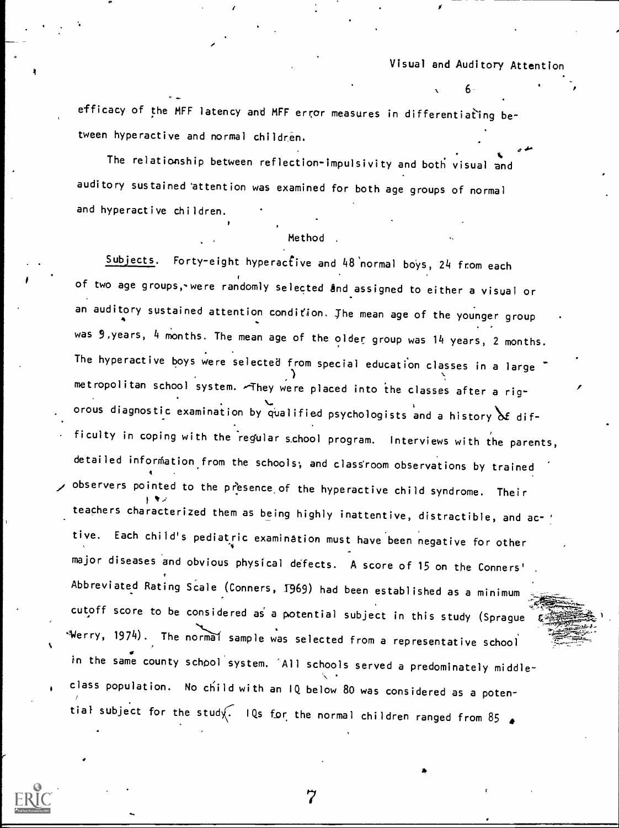$\sigma$  for  $\sigma$  and  $\sigma$ 

efficacy of the MFF latency and MFF error measures in differentiating between hyperactive and normal children.

The relationship between reflection-impulsivity and both visual and auditory sustained 'attention was examined for both age groups of normal and hyperactive children.

#### Method

Subjects. Forty-eight hyperactive and 48 normal boys, 24 from each of two age groups,-were randomly selected and assigned to either a visual or an auditory sustained attention condition. The mean age of the younger group was 9,years, 4 months. The mean age of the older group was 14 years, 2 months. The hyperactive boys were selected from special education classes in a large metropolitan school system. They were placed into the classes after a rigorous diagnostic examination by qualified psychologists and a history  $\delta$  difficulty in coping with the regular school program. Interviews with the parents, detailed information from the schools; and class room observations by trained observers pointed to the presence of the hyperactive child syndrome. Their teachers characterized them as being highly inattentive, distractible, and ac- ' tive. Each child's pediatric examination must have been negative for other major diseases and obvious physical defects. A score of 15 on the Conners' Abbreviated Rating Scale (Conners, 1969) had been established as a minimum cutoff score to be considered as a potential subject in this study (Sprague  $W$ erry, 1974). The normal sample was selected from a representative school in the same county school system. All schools served a predominately middleclass population. No child with an IQ below 80 was considered as a potential subject for the study. IQs for the normal children ranged from 85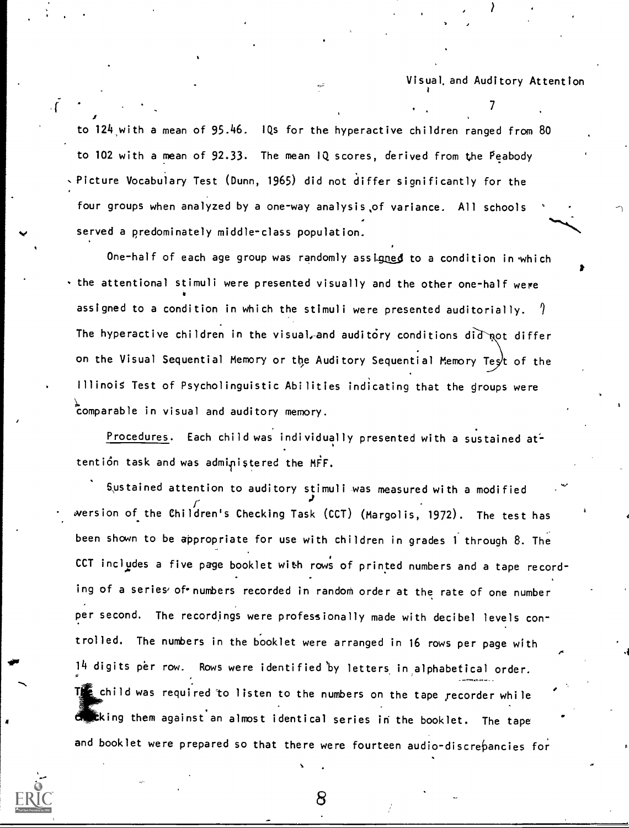$\mathcal{T}$  and  $\mathcal{T}$ 

.

.1

 $1$  and  $1$ 

to 124,with a mean of 95.46. IQs for the hyperactive children ranged from 80 to 102 with a mean of 92.33. The mean IQ scores, derived from the Peabody Picture Vocabulary Test (Dunn, 1965) did not differ significantly for the four groups when analyzed by a one-way analysis,of variance. All schools served a predominately middle-class population.

One-half of each age group was randomly assigned to a condition in which the attentional stimuli were presented visually and the other one-half were assigned to a condition in which the stimuli were presented auditorially.  $\sqrt{ }$ The hyperactive children in the visual, and auditory conditions did not differ on the Visual Sequential Memory or the Auditory Sequential Memory Test of the Illinois Test of Psycholinguistic Abilities indicating that the groups were comparable in visual and auditory memory.

Procedures. Each child was individually presented with a sustained attention task and was administered the MFF.

Sustained attention to auditory stimuli was measured with a modified wersion of the Children's Checking Task (CCT) (Margolis, 1972). The test has been shown to be appropriate for use with children in grades <sup>1</sup> through 8. The CCT includes a five page booklet with rows of printed numbers and a tape recording of a series of numbers recorded in random order at the rate of one number per second. The recordings were professionally made with decibel levels con trolled. The numbers in the booklet were arranged in 16 rows per page with 14 digits per row. Rows were identified 'by letters, in alphabetical order. The child was required to listen to the numbers on the tape recorder while ching them against an almost identical series in the booklet. The tape and booklet were prepared so that there were fourteen audio-discrepancies for



 $8 \rightarrow 8$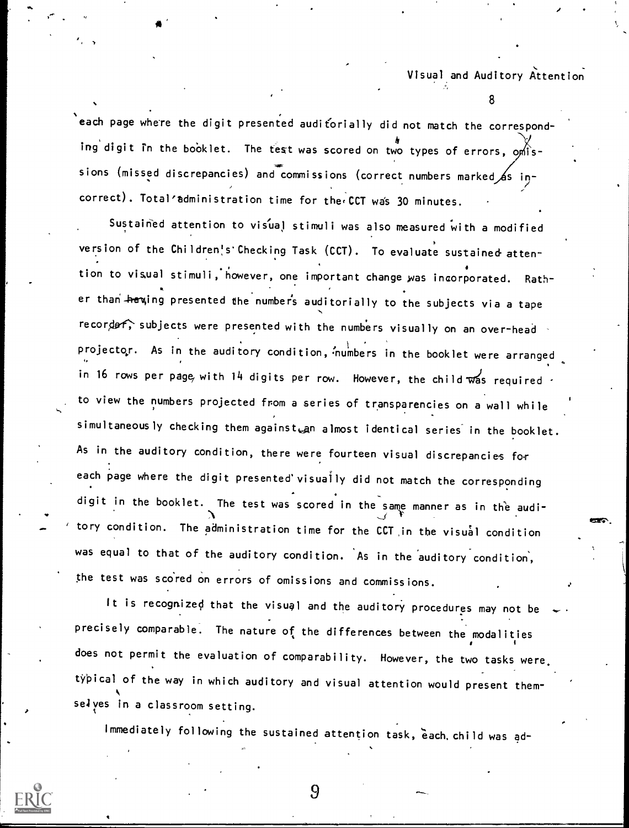8

each page where the digit presented auditorially did not match the corresponding digit in the booklet. The test was scored on two types of errors,  $\alpha$  issions (missed discrepancies) and commissions (correct numbers marked 6s incorrect). Total'administration time for the CCT was 30 minutes.

 $A^{\prime}$  and  $A^{\prime}$ 

Sustained attention to visual stimuli was also measured with a modified version of the Children's Checking Task (CCT). To evaluate sustained attention to visual stimuli,'however, one important change was incorporated. Rath**s** in the er than <del>ha</del>wing presented the numbers auditorially to the subjects via a tape recorder; subjects were presented with the numbers visually on an over-head projector. As in the auditory condition, 'numbers in the booklet were arranged in 16 rows per page, with 14 digits per row. However, the child was required  $\cdot$ to view the numbers projected from a series of transparencies on a wall while simultaneously checking them againstean almost identical series in the booklet. As in the auditory condition, there were fourteen visual discrepancies for each page where the digit presented visually did not match the corresponding digit in the booklet. The test was scored in the same manner as in the audi tory condition. The administration time for the CCT in the visual condition was equal to that of the auditory condition. As in the auditory condition, the test was scored on errors of omissions and commissions.

It is recognized that the visual and the auditory procedures may not be precisely comparable. The nature of the differences between the modalities does not permit the evaluation of comparability. However, the two tasks were  $\cdot$ typical of the way in which auditory and visual attention would present themselves in a classroom setting.

Immediately following the sustained attention task, each, child was ad-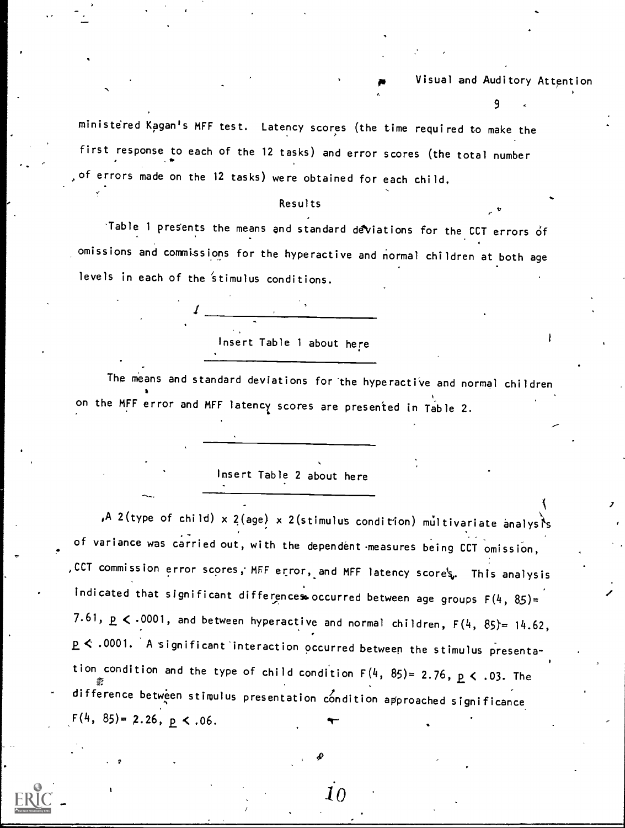9

ministered Kagan's MFF test. Latency scores (the time required to make the first response to each of the 12 tasks) and error scores (the total number of errors made on the 12 tasks) were obtained for each child.

#### Results

'Table 1 presents the means and standard deviations for the CCT errors of omissions and commissions for the hyperactive and normal children at both age levels in each of the stimulus conditions.

Insert Table 1 about here

 $\frac{1}{1}$ 

The means and standard deviations for the hyperactive and normal children on the MFF error and MFF latency scores are presented in Table 2.

Insert Table 2 about here

,A 2(type of child) x 2(age) x 2(stimulus condition) multivariate analysis of variance was carried out, with the dependent measures being CCT omission, ,CCT commission error scores, MFF error, and MFF latency scores. This analysis indicated that significant differences occurred between age groups  $F(4, 85)$ = 7.61,  $p \le .0001$ , and between hyperactive and normal children,  $F(4, 85) = 14.62$ , < .0001. A significant'interaction occurred between the stimulus presentation condition and the type of child condition  $F(4, 85) = 2.76$ ,  $p \le .03$ . The difference between stimulus presentation condition approached significance  $F(4, 85) = 2.26, p \le .06$ .

 $\it{10}$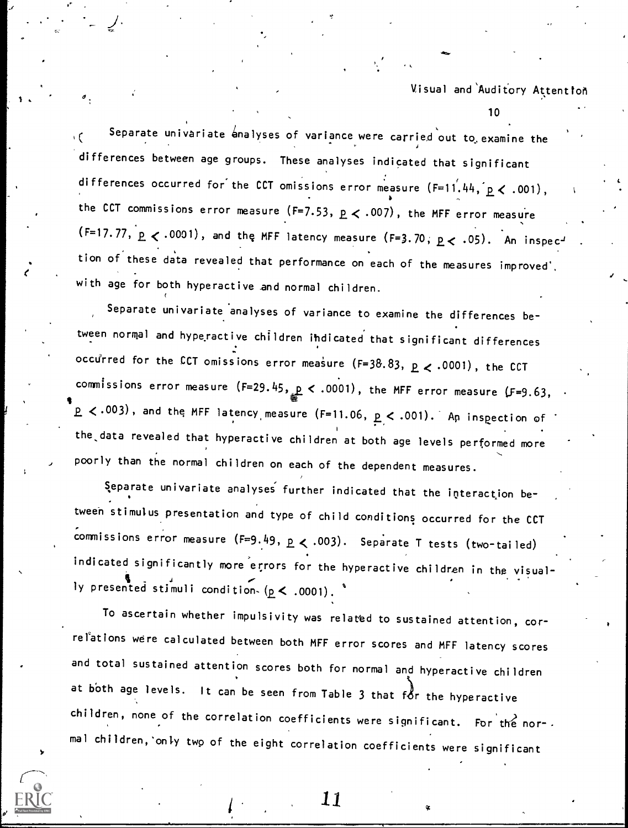10

Separate univariate analyses of variance were carried out to examine the  $\qquad$ ١Ć differences between age groups. These analyses indicated that significant differences occurred for the CCT omissions error measure  $(F=11, 44, p < .001)$ , the CCT commissions error measure (F=7.53,  $p \lt .007$ ), the MFF error measure  $(F=17.77, p \le .0001)$ , and the MFF latency measure  $(F=3.70, p \le .05)$ . An inspection of these data revealed that performance on each of the measures improved', with age for both hyperactive and normal children.

Separate univariate analyses of variance to examine the differences between normal and hyperactive children ihdicated that significant differences occurred for the CCT omissions error measure (F=38.83,  $p \lt 0.0001$ ), the CCT commissions error measure (F=29.45,  $_{\rm{sg}}$   $<$  .0001), the MFF error measure (F=9.63,  $\,$   $\,$ **1**  $2 < 0.003$  , and the MFF latency measure (F=11.06,  $p < .001$ ). An inspection of the,data revealed that hyperactive children at both age levels performed more poorly than the normal children on each of the dependent measures.

Separate univariate analyses . further indicated that the interaction between stimulus presentation and type of child conditions occurred for the CCT commissions error measure (F=9.49,  $p \lt .003$ ). Separate T tests (two-tailed) indicated significantly more errors for the hyperactive children in the visually presented stimuli condition,  $(p < .0001)$ .

To ascertain whether impulsivity was related to sustained attention, correlations were calculated between both MFF error scores and MFF latency scores and total sustained attention scores both for normal and hyperactive children at both age levels. It can be seen from Table 3 that for the hyperactive children, none of the correlation coefficients were significant. For the nor-. mal chi ldren, 'only two of the eight correlation coefficients were significant

. 11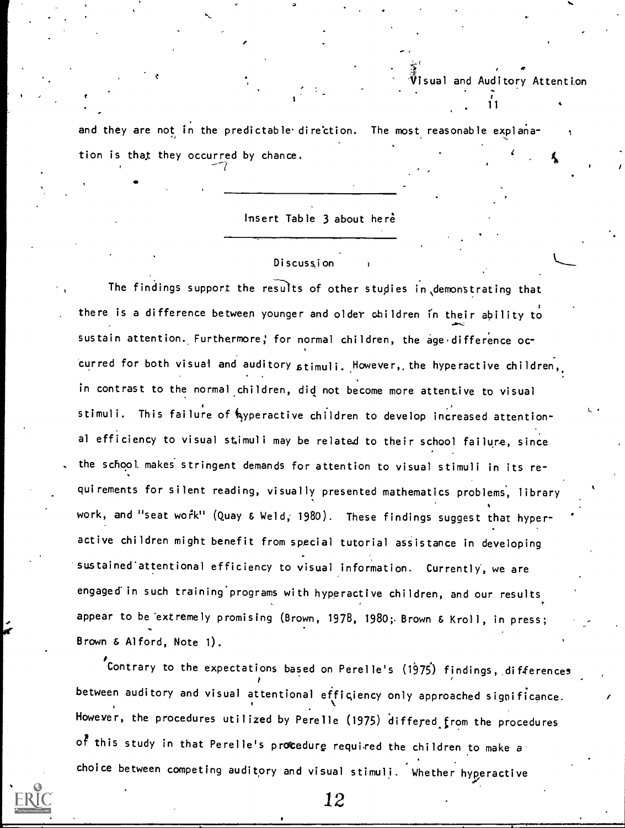11

and they are not in the predictable direction. The most reasonable explanation is that they occurred by chance.

--/

**IP** and the second second  $\mathbf{r}$ 

Insert Table 3 about here

### Discussion

The findings support the results of other studies in demonstrating that there is a difference between younger and older children in their ability to sustain attention. Furthermore, for normal children, the age difference occurred for both visual and auditory stimuli. However, the hyperactive children, in contrast to the normal children, did not become more attentive to visual stimuli. This failure of hyperactive children to develop increased attentional efficiency to visual stimuli may be related to their school failure, since the school makes stringent demands for attention to visual stimuli in its requirements for silent reading, visually presented mathematics problems, library work, and "seat work" (Quay & Weld, 1980). These findings suggest that hyperactive children might benefit from special tutorial assistance in developing sustained attentional efficiency to visual information. Currently, we are engaged in such training programs with hyperactive children, and our results appear to be 'extremely promising (Brown, 1978, 1980; Brown & Kroll, in press; Brown & Alford, Note 1).

Contrary to the expectations based on Perelle's  $(1975)$  findings, differences between auditory and visual attentionai efficiency only approached significance. However, the procedures utilized by Perelle (1975) differed from the procedures of this study in that Perelle's procedure required the children to make a choice between competing auditory and visual stimuli. Whether hyperactive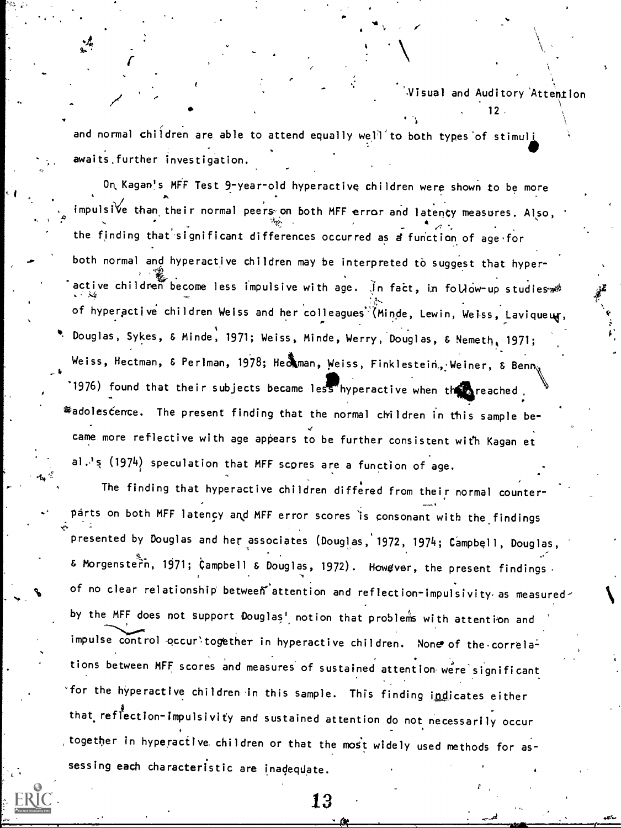.  $12<sup>2</sup>$ 

and normal children are able to attend equally well to both types of stimul<u>ies in the set</u> awaits further investigation.

On, Kagan!s MFF Test 9-year-old hyperactive children were shown to be more impulsi $\forall$ e than their normal peers on both MFF error and latency measures. Also,  $\bullet$   $\bullet$   $\bullet$ the finding that significant differences occurred as a function of age for  $\,$ both normal and hyperactive children may be interpreted to suggest that hyperactive children become less impulsive with age. In fact, in follow-up studies of hyperactive children Weiss and her colleagues<sup>\*</sup>(Minde, Lewin, Weiss, Laviqueug, 4. Douglas, Sykes, & Minde, 1971; Weiss, Minde, Werry, Douglas, & Nemeth, 1971; Weiss, Hectman, & Perlman, 1978; He $\tilde{A}$ man, Weiss, Finklestein, Weiner, & Benn,  $^{\circ}$ 1976) found that their subjects became less hyperactive when the reached .  $\tilde{\bm s}$ adoles $\acute{\bm c}$ ence. The present finding that the normal children in this sample became more reflective with age appears to be further consistent with Kagan et  $\ddot{\phantom{a}}$ al.'s (1974) speculation that MFF scores are a function of age.

J". The finding that hyperactive children differed from their normal counterparts on both MFF latency and MFF error scores is consonant with the findings presented by Douglas and her associates (Douglas, 1972, 1974; Campbell, Douglas, i  $\delta$  Morgenstern, 1971; Campbell  $\delta$  Douglas, 1972). Howgver, the present findings. of no clear relationship betweent attention and reflection-impulsivity as measured by the MFF does not support Douglas' notion that problems with attention and impulse control occuritogether in hyperactive children. None of the correlations between MFF scores and measures of sustained attention were significant for the hyperactive children in this sample. This finding indicates either that reflection-impulsivity and sustained attention do not necessarily occur together in hyperactive children or that the most widely used methods for assessing each characteristic are inadeqdate.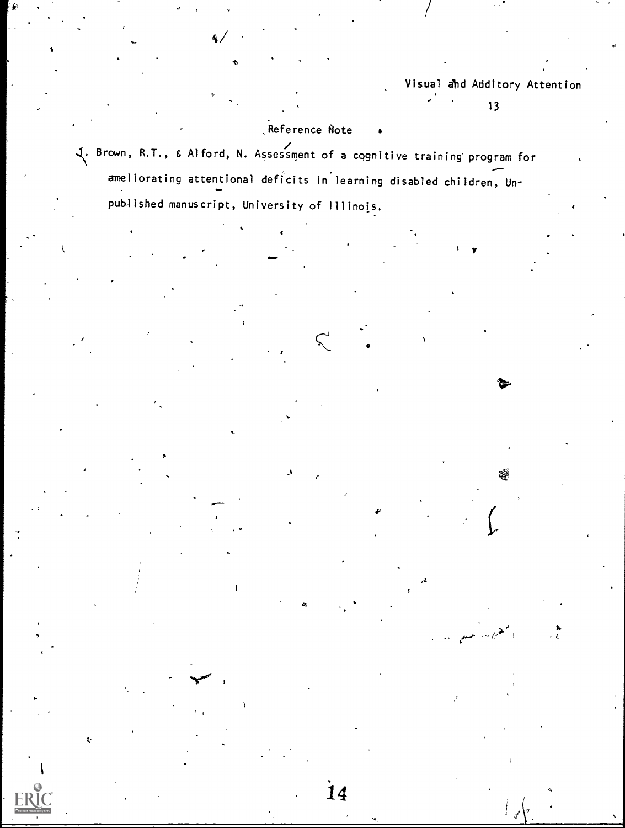$1 - y$ 

 $\ddot{\phantom{1}}$ 

Ş.

# Reference Note

Brown, R.T., & Alford, N. Assessment of a cognitive training- program for ameliorating attentional deficits in learning disabled children, Unpublished manuscript, University of Illinois.

.11

ea

14

**IMP** of the state of the state of the state of the state of the state of the state of the state of the state of the state of the state of the state of the state of the state of the state of the state of the state of the s

t

a

a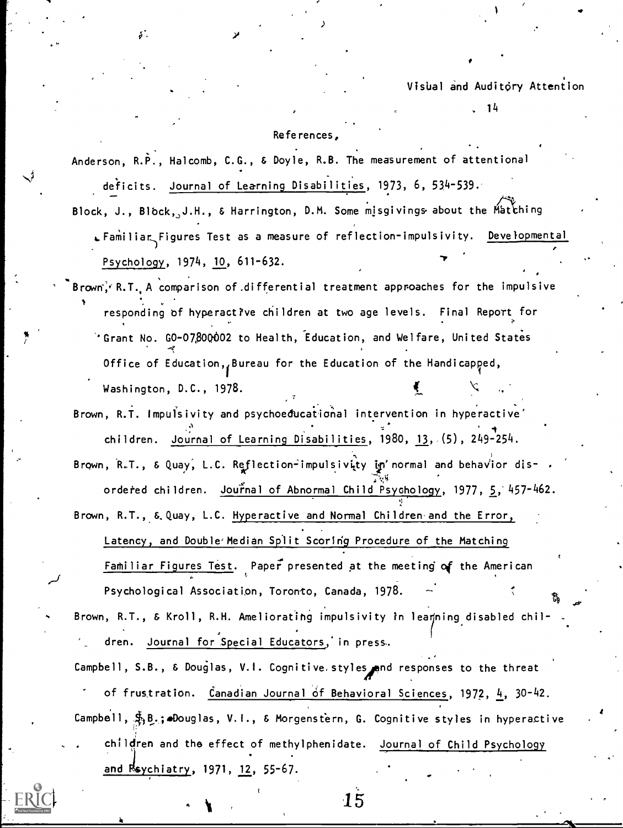14

At

## References,

s.

Anderson, R.P., Halcomb, C.G., & Doyle, R.B. The measurement of attentional deficits. Journal of Learning Disabilities, 1973, 6, 534-539.

Block, J., Block, J.H., & Harrington, D.M. Some misgivings about the Matthing  $\qquad$  $E$ Familiar Figures Test as a measure of reflection-impulsivity. Developmental Psychology, 1974, 10, 611-632.

- $\mathsf{Brown}_i^2$  R.T. A comparison of differential treatment approaches for the impulsive responding of hyperactive children at two age levels. Final Report for 'Grant No. GO-07,80002 to Health, Education, and Welfare, United States Office of Education, Bureau for the Education of the Handicapped, Washington, D.C., 1978.
- Brown, R.T. Impulsivity and psychoedbcational intervention in hyperactive' children. Journal of Learning Disabilities, 1980, 13, (5), 249-254.
- Brown, R.T., & Quay, L.C. Reflection-impulsivity in' normal and behavior disordered children. Journal of Abnormal Child Psychology, 1977, 5, 457-462.

Brown, R.T., & Quay, L.C. Hyperactive and Normal Children and the Error, Latency, and Double'Median Split Scoring Procedure of the Matching Familiar Figures Test. Paper presented at the meeting of the American ti anno 1970.<br>Iomraidhean Psychological Association, Toronto, Canada, 1978.

Brown, R.T., & Kroll, R.H. Ameliorating impulsivity in leamning disabled children. Journal for Special Educators; in press..

Campbell, S.B., & Douglas, V.I. Cognitive, styles, and responses to the threat of frustration. Canadian Journal of Behavioral Sciences, 1972,  $\frac{1}{2}$ , 30-42. Campbell,  $\mathfrak{F}_1$ B.; Douglas, V.I., & Morgenstern, G. Cognitive styles in hyperactive children and the effect of methylphenidate. Journal of Child Psychology and Rsychiatry, 1971, 12, 55-67.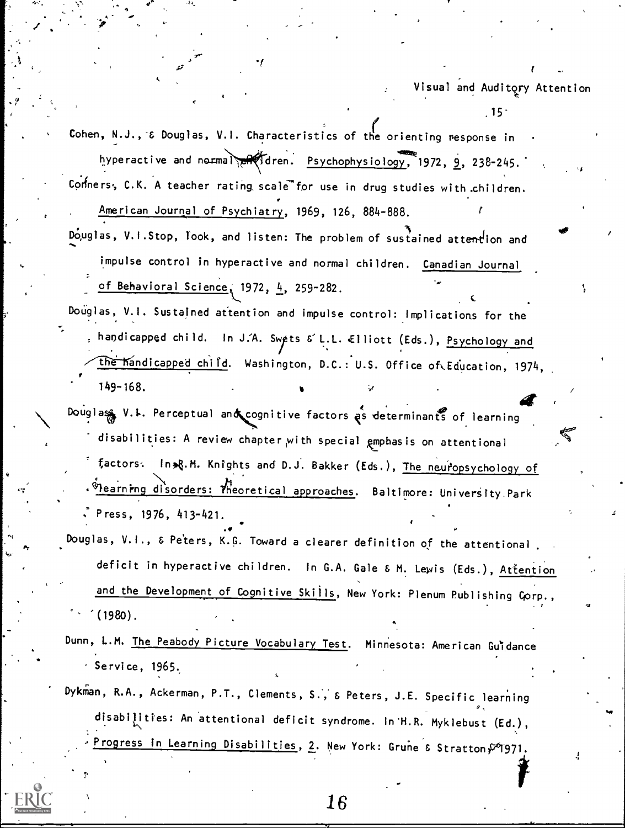$.15<sup>°</sup>$ 

Cohen, N.J., & Douglas, V.I. Characteristics of the orienting response in hyperactive and normal reflaten. Psychophysiology, 1972, 9, 238-245. Conners, C.K. A teacher rating scale for use in drug studies with children. American Journal of Psychiatry, 1969, 126, 884-888.

Douglas, V.I.Stop, look, and listen: The problem of sustained attention and impulse control in hyperactive and normal children. Canadian Journal of Behavioral Science, 1972, 4, 259-282.

Douglas, V.I. Sustained attention and impulse control: Implications for the . handicapped child. In J.A. Swets & L.L. Elliott (Eds.), Psychology and the handicapped child. Washington, D.C.: U.S. Office of Education, 1974,  $149 - 168.$ 

- Douglas V.L. Perceptual and cognitive factors as determinants of learning disabilities: A review chapter with special gmphasis on attentional factors: In R.M. Knights and D.J. Bakker (Eds.), The neuropsychology of Whearning disorders: Theoretical approaches. Baltimore: University Park Press, 1976, 413-421.
- Douglas, V.I., & Peters, K.G. Toward a clearer definition of the attentional. deficit in hyperactive children. In G.A. Gale & M. Lewis (Eds.), Attention and the Development of Cognitive Skills, New York: Plenum Publishing Corp.,  $(1980)$ .
- Dunn, L.M. The Peabody Picture Vocabulary Test. Minnesota: American Guidance Service,  $1965.$
- Dykman, R.A., Ackerman, P.T., Clements, S., & Peters, J.E. Specific learning disabilities: An attentional deficit syndrome. In H.R. Myklebust (Ed.), Progress in Learning Disabilities, 2. New York: Grune & Stratton P 1971.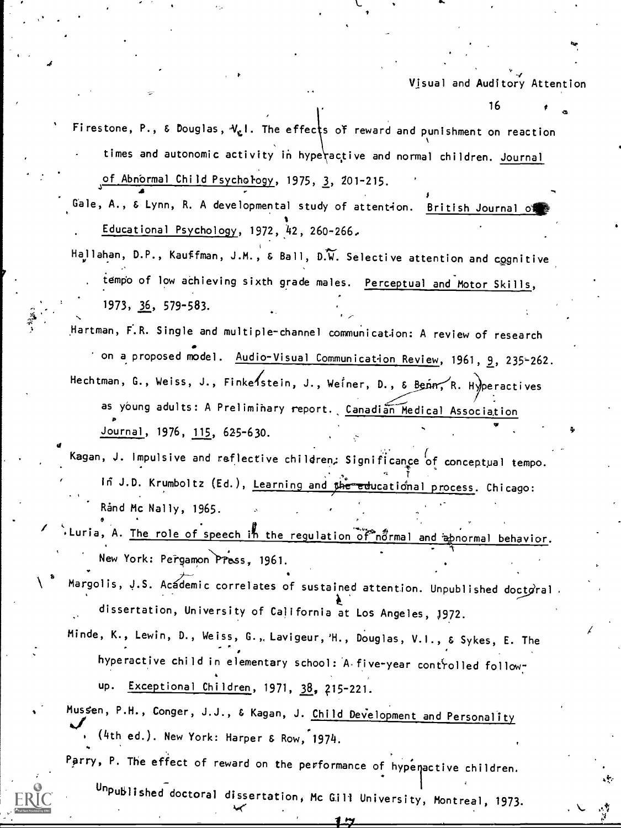16

kr

Ft

Firestone, P., & Douglas,  $\mathcal{V}_{\mathcal{L}}$  1. The effects of reward and punishment on reaction times and autonomic activity in hyperactive and normal children. Journal of Abnbrmal Child Psychol-ogy, 1975, 3, 201-215.

uale, A., & Lynn, R. A developmental study of attention. <u>British Journal of</u> the state of the state of the sta Educational Psychology, 1972, 42, 260-266.

 $\overrightarrow{a}$ 

 $\bullet$  and  $\bullet$ 

Hallahan, D.P., Kauffman, J.M.,  $\&$  Ball, D.W. Selective attention and cognitive tempo of low achieving sixth grade males. Perceptual and Motor Skills, 1973, 36, 579-583.

Hartman, F.R. Single and multiple-channel communication: A review of research on a proposed model. Audio-Visual Communication Review, 1961, 9, 235-262. Hechtman, G., Weiss, J., Finke stein, J., Weiner, D., & Benn, R. Hyperactives as young adults: A Preliminary report. Canadian Medical Association Journal, 1976, 115, 625-630.

Kagan, J. Impulsive and reflective children; Significance of conceptual tempo.  $\tau$ ,  $\tau$ ,  $\tau$ ,  $\tau$ ,  $\tau$ ,  $\tau$ ,  $\tau$ ,  $\tau$ ,  $\tau$ ,  $\tau$ ,  $\tau$ ,  $\tau$ ,  $\tau$ ,  $\tau$ ,  $\tau$ ,  $\tau$ ,  $\tau$ ,  $\tau$ ,  $\tau$ ,  $\tau$ ,  $\tau$ ,  $\tau$ ,  $\tau$ ,  $\tau$ ,  $\tau$ ,  $\tau$ ,  $\tau$ ,  $\tau$ ,  $\tau$ ,  $\tau$ ,  $\tau$ ,  $\tau$ ,  $\tau$ ,  $\tau$ ,  $\tau$ ,  $\tau$ ,  $\tau$ , in J.D. Krumboltz (Ed.), <u>Learning and <sub>S</sub>he-educational process</u>. Chicago: Rand Mc Nally, 1965.

Luria, A. The role of speech in the regulation of normal and a normal behavior. "V New York: Pergamon Press, 1961.

Margolis, J.S. Acádemic correlates of sustained attention. Unpublished doct $\vec{g}$ ral dissertation, University of California at Los Angeles, )972.

Minde, K., Lewin, D., Weiss, G., Lavigeur,'H., Douglas, V.I., & Sykes, E. The hyperactive child in elementary school: A five-year controlled followup. Exceptional Children, 1971, 38, 215-221.

Mussen, P.H., Conger, J.J., & Kagan, J. Child Development and Personality (4th ed.). New York: Harper & Row, 1974.

Parry, P. The effect of reward on the performance of hypenactive children.



Unpublished doctoral dissertation, Mc Gill University, Montreal, 1973.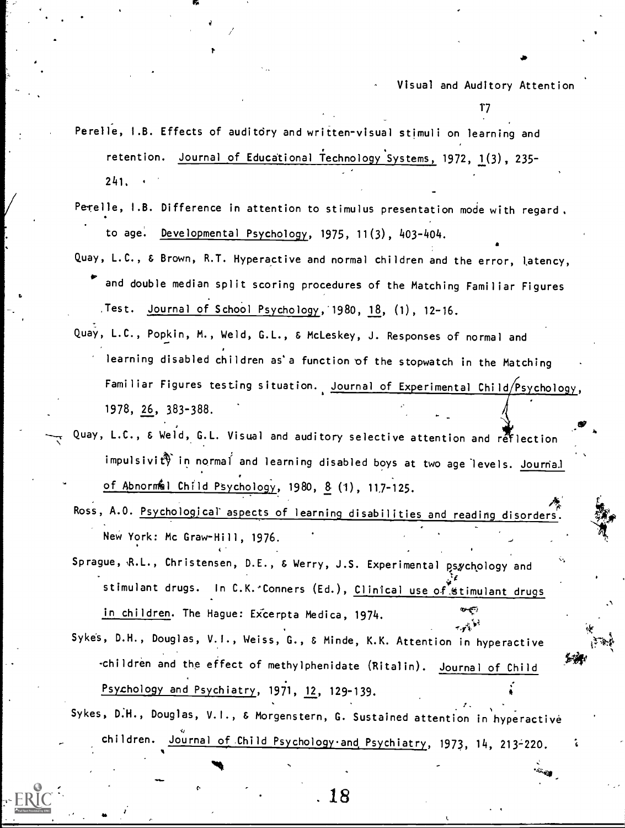$17$ 

Perelle, I.B. Effects of auditory and written-visual stimuli on learning and retention. Journal of Educational Technology Systems, 1972, 1(3), 235- 241.

- Perelle, I.B. Difference in attention to stimulus presentation mode with regard. to age. Developmental Psychology, 1975, 11(3), 403-404.
- Quay, L.C., & Brown, R.T. Hyperactive and normal children and the error, Latency, and double median split scoring procedures of the Matching Familiar Figures Jest. Journal of School Psychology,1980, 18, (1), 12-16.
- Quay, L.C., Popkin, M., Weld, G.L., & McLeskey, J. Responses of normal and learning disabled children as'a function of the stopwatch in the Matching Familiar Figures testing situation. Journal of Experimental Child/Psychology, 1978, 26, 383-388.
- Quay, L.C., & Weld, G.L. Visual and auditory selective attention and reflection impulsivity in normal and learning disabled boys at two age levels. Journal of Abnormel Child Psychology, 1980,  $8$  (1), 117-125.
	- Ross, A.O. Psychological aspects of learning disabilities and reading disorders. New York: Mc Graw-Hill, 1976.

Sprague, R.L., Christensen, D.E., & Werry, J.S. Experimental psychology and stimulant drugs. In C.K. Conners (Ed.), Clinical use of stimulant drugs in children. The Hague: Excerpta Medica, 1974.

- Sykes, D.H., Douglas, V.1., Weiss, G., & Minde, K.K. Attention in hyperactive -children and the effect of methylphenidate (Ritalin). Journal of Child Psychology and Psychiatry, 1971, 12, 129-139.
- Sykes, D.H., Douglas, V.I., & Morgenstern, G. Sustained attention in hyperactive children. <u>Journal of Child Psychology and Psychiatry</u>, 1973, 14, 213–220.

 $\mathcal{A}$  and  $\mathcal{A}$ 

. 18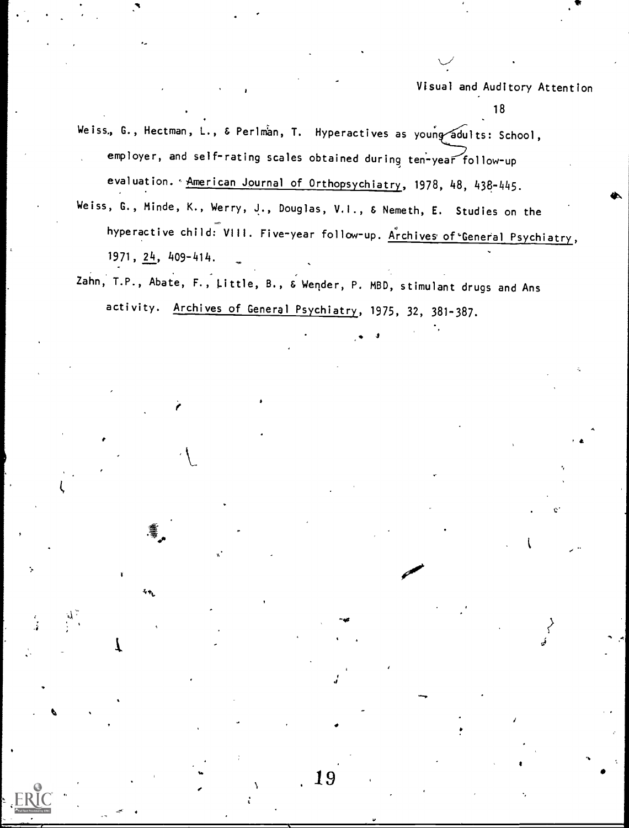18

et.

I.

Weiss., G., Hectman, L., & Perlman, T. Hyperactives as young adults: School, employer, and self-rating scales obtained during ten'-year follow-up evaluation. ' American Journal of Orthopsychiatry, 1978, 48, 438-445.

- Weiss, G., Minde, K., Werry, J., Douglas, V.I., & Nemeth, E. Studies on the hyperactive child: VIII. Five-year follow-up. Archives of General Psychiatry, 1971, 24, 409-414.
- Zahn, T.P., Abate, F., Little, B., & Wender, P. MBD, stimulant drugs and Ans activity. Archives of General Psychiatry, 1975, 32, 381-387.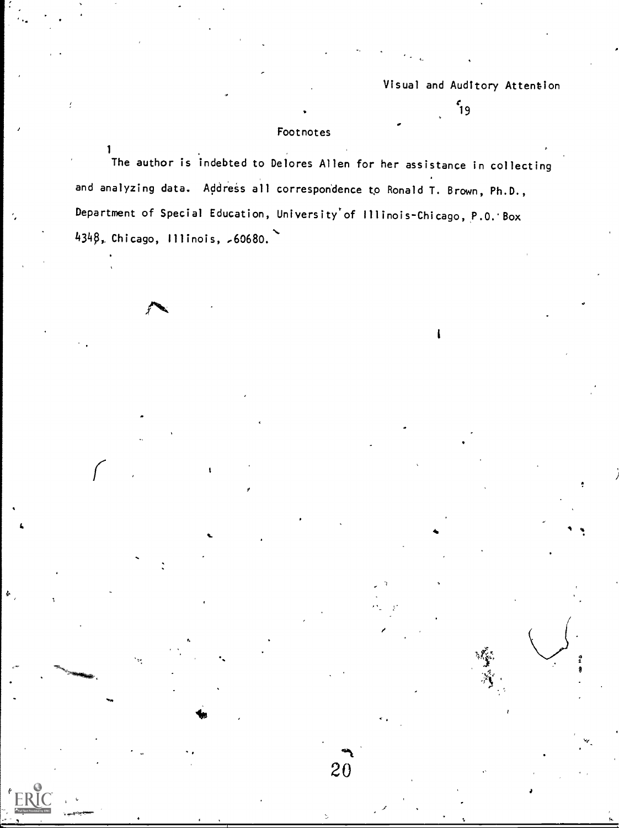$59$ 

# Footnotes

 $\mathbf{1}$ 

e.

ine author is indebted to Delores Allen for her assistance in collecting and analyzing data. Address all correspondence to Ronald T. Brown, Ph.D., Department of Special Education, University'of Illinois-Chicago, P.O.'Box  $434\beta$ , Chicago, Illinois,  ${,}60680.$ 

20

J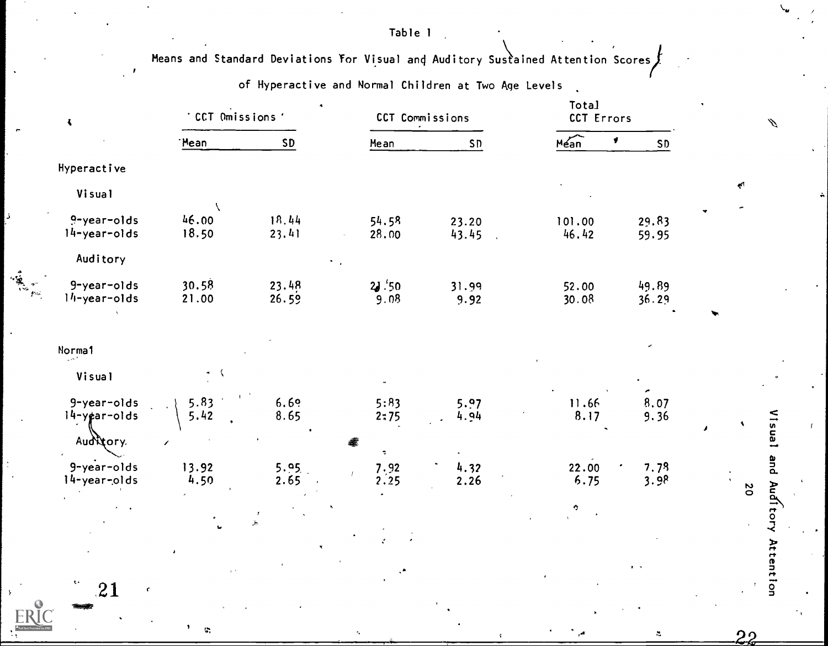Table 1

Means and Standard Deviations For Visual and Auditory Sustained Attention Scores

of Hyperactive and Normal Children at Two Age Levels

| $\ddot{\phantom{1}}$           | $\bullet$<br>CCT Omissions' |                | CCT Commissions                             |               | Total<br>CCT Errors              |                |                |
|--------------------------------|-----------------------------|----------------|---------------------------------------------|---------------|----------------------------------|----------------|----------------|
|                                | 'Mean                       | SD             | Mean                                        | SD            | $M_{\text{Can}}$<br>$\pmb{\ast}$ | SD             |                |
| Hyperactive                    |                             |                |                                             |               |                                  |                |                |
| Visual                         |                             |                |                                             |               |                                  |                | k.             |
| 9-year-olds<br>$14$ -year-olds | 46.00<br>18.50              | 18.44<br>23.41 | 54.58<br>28.00                              | 23.20         | 101.00<br>46.42                  | 29.83          |                |
| Auditory                       |                             |                |                                             | 43.45         |                                  | 59.95          |                |
| 9-year-olds<br>$14$ -year-olds | 30.58<br>21.00              | 23.48<br>26.59 | 2.50<br>9.08                                | 31.99<br>9.92 | 52.00<br>30.08                   | 49.89<br>36.29 |                |
| <b>Norma1</b>                  |                             |                |                                             |               |                                  |                |                |
| Visual                         | $\sim$ $\sqrt{ }$           |                |                                             |               |                                  | ×              |                |
| 9-year-olds<br>14-year-olds    | 5.83<br>5.42                | 6.69<br>8.65   | 5:83<br>2:75                                | 5.97<br>4.94  | 11.66<br>8.17                    | 8.07<br>9.36   | $\bullet$      |
| Auditory.                      |                             |                | ÷,                                          |               |                                  |                |                |
| 9-year-olds<br>14-year-olds    | 13.92<br>4.50               | 5.95.<br>2.65  | $\begin{array}{c} 7.92 \\ 2.25 \end{array}$ | 4.32<br>2.26  | 22.00<br>6.75                    | 7.78<br>3.98   | $\overline{0}$ |
|                                |                             |                |                                             |               | Q.                               |                |                |
|                                |                             |                |                                             |               |                                  |                |                |
|                                |                             |                |                                             |               |                                  |                |                |
| $\mathbf{c}$ .<br>21<br>¢.     |                             |                |                                             |               |                                  |                |                |

 $\mathbb{C}$ 

Visual and Auditory Attention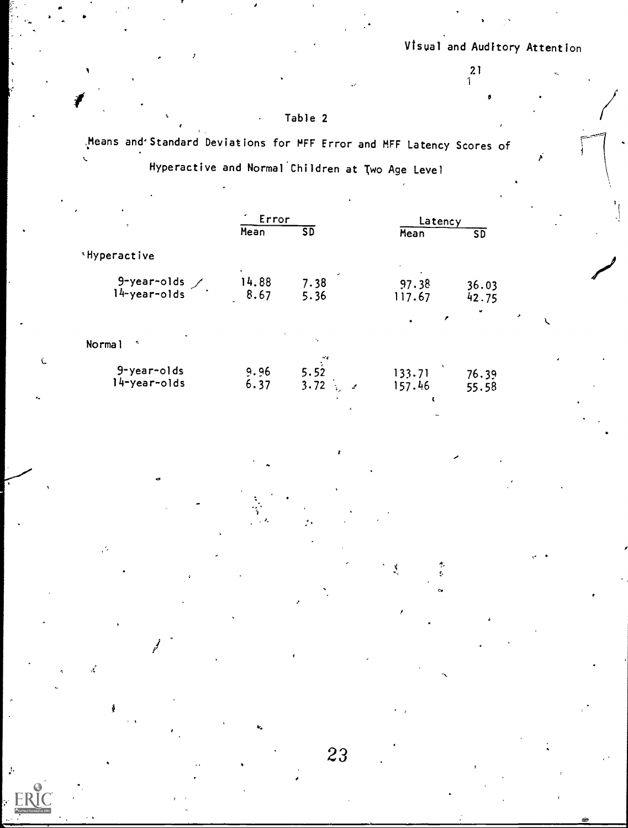0

k.

**مبر**<br>م

 $\binom{21}{1}$ 

**c** contract the contract of

,..

cv<sub>in</sub>

# Table 2

Means and\*Standard Deviations for MFF Error and MFF Latency Scores of

 $\mathcal{L}$  . The set of  $\mathcal{L}$ 

٠Ć.

J,

4

Hyperactive and Normal Children at Two Age Level

| $\bullet$                   | ٠             | Error                                           |                  | Latency         |   |
|-----------------------------|---------------|-------------------------------------------------|------------------|-----------------|---|
| $\gamma$                    | Mean          | SD                                              | Mean             | $5\overline{D}$ |   |
| 'Hyperactive                |               |                                                 |                  |                 |   |
| 9-year-olds<br>l4-year-olds | 14.88<br>8.67 | 7.38<br>5.36                                    | 97.38<br>117.67  | 36.03<br>42.75  |   |
|                             |               |                                                 | £                | ٠               | ٠ |
| Normal<br>é                 |               | ъ.                                              |                  |                 |   |
| 9-year-olds<br>l4-year-olds | 9.96<br>6.37  | N<br>5.52<br>3.72<br>$\mathcal{L}_{\text{max}}$ | 133.71<br>157.46 | 76.39<br>55.58  |   |

 $\mathcal{L}^{\text{max}}$ 

4t.